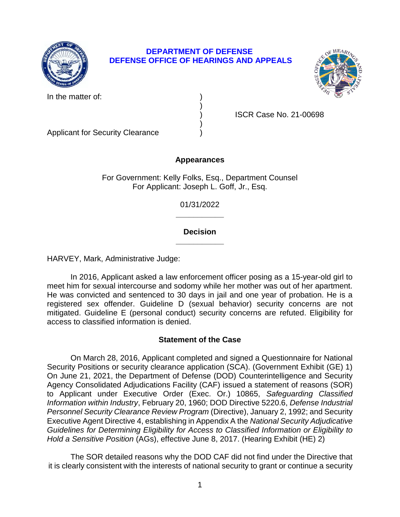

# **DEPARTMENT OF DEFENSE DEFENSE OFFICE OF HEARINGS AND APPEALS**

In the matter of:



) )

) ISCR Case No. 21-00698

Applicant for Security Clearance )

# **Appearances**

For Government: Kelly Folks, Esq., Department Counsel For Applicant: Joseph L. Goff, Jr., Esq.

> **\_\_\_\_\_\_\_\_\_\_\_**  01/31/2022

# **\_\_\_\_\_\_\_\_\_\_\_ Decision**

HARVEY, Mark, Administrative Judge:

 In 2016, Applicant asked a law enforcement officer posing as a 15-year-old girl to He was convicted and sentenced to 30 days in jail and one year of probation. He is a registered sex offender. Guideline D (sexual behavior) security concerns are not mitigated. Guideline E (personal conduct) security concerns are refuted. Eligibility for meet him for sexual intercourse and sodomy while her mother was out of her apartment. access to classified information is denied.

# **Statement of the Case**

 Security Positions or security clearance application (SCA). (Government Exhibit (GE) 1) On June 21, 2021, the Department of Defense (DOD) Counterintelligence and Security Agency Consolidated Adjudications Facility (CAF) issued a statement of reasons (SOR)  to Applicant under Executive Order (Exec. Or.) 10865, *Safeguarding Classified*  Personnel Security Clearance Review Program (Directive), January 2, 1992; and Security Executive Agent Directive 4, establishing in Appendix A the *National Security Adjudicative Guidelines for Determining Eligibility for Access to Classified Information or Eligibility to*  On March 28, 2016, Applicant completed and signed a Questionnaire for National *Information within Industry*, February 20, 1960; DOD Directive 5220.6, *Defense Industrial Hold a Sensitive Position* (AGs), effective June 8, 2017. (Hearing Exhibit (HE) 2)

 The SOR detailed reasons why the DOD CAF did not find under the Directive that it is clearly consistent with the interests of national security to grant or continue a security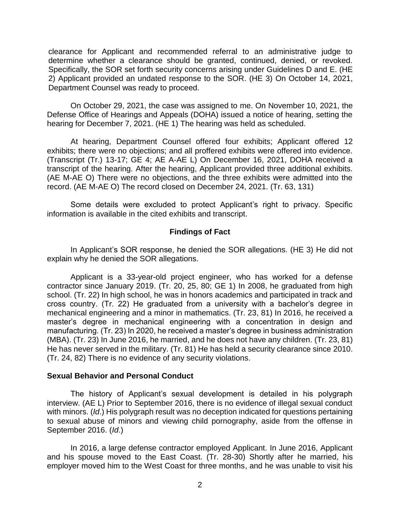clearance for Applicant and recommended referral to an administrative judge to determine whether a clearance should be granted, continued, denied, or revoked. Specifically, the SOR set forth security concerns arising under Guidelines D and E. (HE 2) Applicant provided an undated response to the SOR. (HE 3) On October 14, 2021, Department Counsel was ready to proceed.

 On October 29, 2021, the case was assigned to me. On November 10, 2021, the Defense Office of Hearings and Appeals (DOHA) issued a notice of hearing, setting the hearing for December 7, 2021. (HE 1) The hearing was held as scheduled.

 exhibits; there were no objections; and all proffered exhibits were offered into evidence. (Transcript (Tr.) 13-17; GE 4; AE A-AE L) On December 16, 2021, DOHA received a transcript of the hearing. After the hearing, Applicant provided three additional exhibits. (AE M-AE O) There were no objections, and the three exhibits were admitted into the At hearing, Department Counsel offered four exhibits; Applicant offered 12 record. (AE M-AE O) The record closed on December 24, 2021. (Tr. 63, 131)

Some details were excluded to protect Applicant's right to privacy. Specific information is available in the cited exhibits and transcript.

## **Findings of Fact**

In Applicant's SOR response, he denied the SOR allegations. (HE 3) He did not explain why he denied the SOR allegations.

 contractor since January 2019. (Tr. 20, 25, 80; GE 1) In 2008, he graduated from high school. (Tr. 22) In high school, he was in honors academics and participated in track and cross country. (Tr. 22) He graduated from a university with a bachelor's degree in mechanical engineering and a minor in mathematics. (Tr. 23, 81) In 2016, he received a master's degree in mechanical engineering with a concentration in design and manufacturing. (Tr. 23) In 2020, he received a master's degree in business administration (MBA). (Tr. 23) In June 2016, he married, and he does not have any children. (Tr. 23, 81) He has never served in the military. (Tr. 81) He has held a security clearance since 2010. Applicant is a 33-year-old project engineer, who has worked for a defense (Tr. 24, 82) There is no evidence of any security violations.

#### **Sexual Behavior and Personal Conduct**

 The history of Applicant's sexual development is detailed in his polygraph interview. (AE L) Prior to September 2016, there is no evidence of illegal sexual conduct with minors. (*Id*.) His polygraph result was no deception indicated for questions pertaining to sexual abuse of minors and viewing child pornography, aside from the offense in September 2016. (*Id*.)

 In 2016, a large defense contractor employed Applicant. In June 2016, Applicant and his spouse moved to the East Coast. (Tr. 28-30) Shortly after he married, his employer moved him to the West Coast for three months, and he was unable to visit his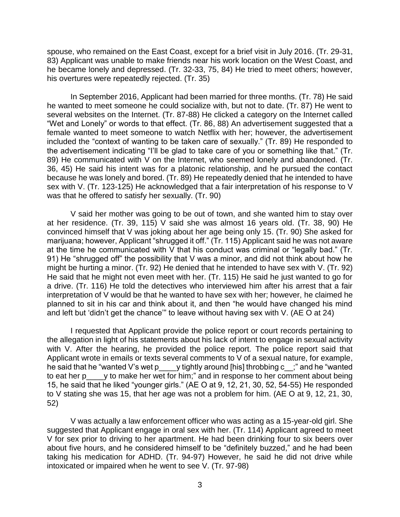spouse, who remained on the East Coast, except for a brief visit in July 2016. (Tr. 29-31, 83) Applicant was unable to make friends near his work location on the West Coast, and he became lonely and depressed. (Tr. 32-33, 75, 84) He tried to meet others; however, his overtures were repeatedly rejected. (Tr. 35)

In September 2016, Applicant had been married for three months. (Tr. 78) He said he wanted to meet someone he could socialize with, but not to date. (Tr. 87) He went to several websites on the Internet. (Tr. 87-88) He clicked a category on the Internet called "Wet and Lonely" or words to that effect. (Tr. 86, 88) An advertisement suggested that a female wanted to meet someone to watch Netflix with her; however, the advertisement included the "context of wanting to be taken care of sexually." (Tr. 89) He responded to the advertisement indicating "I'll be glad to take care of you or something like that." (Tr. 89) He communicated with V on the Internet, who seemed lonely and abandoned. (Tr. 36, 45) He said his intent was for a platonic relationship, and he pursued the contact because he was lonely and bored. (Tr. 89) He repeatedly denied that he intended to have sex with V. (Tr. 123-125) He acknowledged that a fair interpretation of his response to V was that he offered to satisfy her sexually. (Tr. 90)

V said her mother was going to be out of town, and she wanted him to stay over at her residence. (Tr. 39, 115) V said she was almost 16 years old. (Tr. 38, 90) He convinced himself that V was joking about her age being only 15. (Tr. 90) She asked for marijuana; however, Applicant "shrugged it off." (Tr. 115) Applicant said he was not aware at the time he communicated with V that his conduct was criminal or "legally bad." (Tr. 91) He "shrugged off" the possibility that V was a minor, and did not think about how he might be hurting a minor. (Tr. 92) He denied that he intended to have sex with V. (Tr. 92) He said that he might not even meet with her. (Tr. 115) He said he just wanted to go for a drive. (Tr. 116) He told the detectives who interviewed him after his arrest that a fair interpretation of V would be that he wanted to have sex with her; however, he claimed he planned to sit in his car and think about it, and then "he would have changed his mind and left but 'didn't get the chance'" to leave without having sex with V. (AE O at 24)

 I requested that Applicant provide the police report or court records pertaining to the allegation in light of his statements about his lack of intent to engage in sexual activity with V. After the hearing, he provided the police report. The police report said that Applicant wrote in emails or texts several comments to V of a sexual nature, for example, he said that he "wanted V's wet p\_\_\_\_y tightly around [his] throbbing c\_\_;" and he "wanted to eat her p\_\_\_\_y to make her wet for him;" and in response to her comment about being 15, he said that he liked "younger girls." (AE O at 9, 12, 21, 30, 52, 54-55) He responded to V stating she was 15, that her age was not a problem for him. (AE O at 9, 12, 21, 30, 52)

 V was actually a law enforcement officer who was acting as a 15-year-old girl. She suggested that Applicant engage in oral sex with her. (Tr. 114) Applicant agreed to meet V for sex prior to driving to her apartment. He had been drinking four to six beers over about five hours, and he considered himself to be "definitely buzzed," and he had been taking his medication for ADHD. (Tr. 94-97) However, he said he did not drive while intoxicated or impaired when he went to see V. (Tr. 97-98)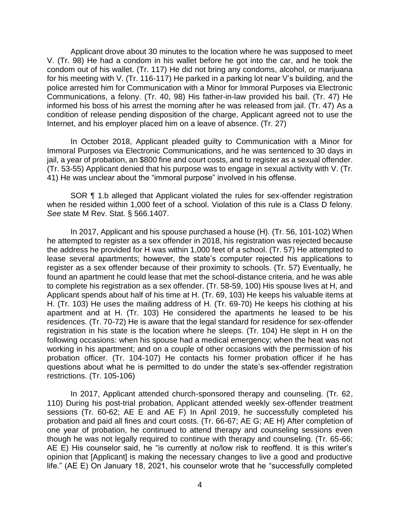Applicant drove about 30 minutes to the location where he was supposed to meet V. (Tr. 98) He had a condom in his wallet before he got into the car, and he took the condom out of his wallet. (Tr. 117) He did not bring any condoms, alcohol, or marijuana for his meeting with V. (Tr. 116-117) He parked in a parking lot near V's building, and the police arrested him for Communication with a Minor for Immoral Purposes via Electronic Communications, a felony. (Tr. 40, 98) His father-in-law provided his bail. (Tr. 47) He informed his boss of his arrest the morning after he was released from jail. (Tr. 47) As a condition of release pending disposition of the charge, Applicant agreed not to use the Internet, and his employer placed him on a leave of absence. (Tr. 27)

In October 2018, Applicant pleaded guilty to Communication with a Minor for Immoral Purposes via Electronic Communications, and he was sentenced to 30 days in jail, a year of probation, an \$800 fine and court costs, and to register as a sexual offender. (Tr. 53-55) Applicant denied that his purpose was to engage in sexual activity with V. (Tr. 41) He was unclear about the "immoral purpose" involved in his offense.

SOR ¶ 1.b alleged that Applicant violated the rules for sex-offender registration when he resided within 1,000 feet of a school. Violation of this rule is a Class D felony. *See* state M Rev. Stat. § 566.1407.

In 2017, Applicant and his spouse purchased a house (H). (Tr. 56, 101-102) When he attempted to register as a sex offender in 2018, his registration was rejected because the address he provided for H was within 1,000 feet of a school. (Tr. 57) He attempted to lease several apartments; however, the state's computer rejected his applications to register as a sex offender because of their proximity to schools. (Tr. 57) Eventually, he found an apartment he could lease that met the school-distance criteria, and he was able to complete his registration as a sex offender. (Tr. 58-59, 100) His spouse lives at H, and Applicant spends about half of his time at H. (Tr. 69, 103) He keeps his valuable items at H. (Tr. 103) He uses the mailing address of H. (Tr. 69-70) He keeps his clothing at his apartment and at H. (Tr. 103) He considered the apartments he leased to be his residences. (Tr. 70-72) He is aware that the legal standard for residence for sex-offender registration in his state is the location where he sleeps. (Tr. 104) He slept in H on the following occasions: when his spouse had a medical emergency; when the heat was not working in his apartment; and on a couple of other occasions with the permission of his probation officer. (Tr. 104-107) He contacts his former probation officer if he has questions about what he is permitted to do under the state's sex-offender registration restrictions. (Tr. 105-106)

In 2017, Applicant attended church-sponsored therapy and counseling. (Tr. 62, 110) During his post-trial probation, Applicant attended weekly sex-offender treatment sessions (Tr. 60-62; AE E and AE F) In April 2019, he successfully completed his probation and paid all fines and court costs. (Tr. 66-67; AE G; AE H) After completion of one year of probation, he continued to attend therapy and counseling sessions even though he was not legally required to continue with therapy and counseling. (Tr. 65-66; AE E) His counselor said, he "is currently at no/low risk to reoffend. It is this writer's opinion that [Applicant] is making the necessary changes to live a good and productive life." (AE E) On January 18, 2021, his counselor wrote that he "successfully completed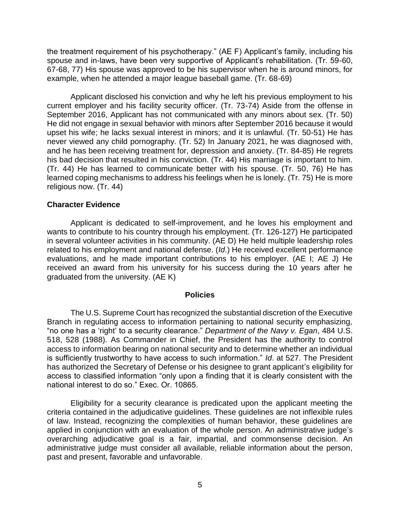the treatment requirement of his psychotherapy." (AE F) Applicant's family, including his spouse and in-laws, have been very supportive of Applicant's rehabilitation. (Tr. 59-60, 67-68, 77) His spouse was approved to be his supervisor when he is around minors, for example, when he attended a major league baseball game. (Tr. 68-69)

 Applicant disclosed his conviction and why he left his previous employment to his current employer and his facility security officer. (Tr. 73-74) Aside from the offense in September 2016, Applicant has not communicated with any minors about sex. (Tr. 50) He did not engage in sexual behavior with minors after September 2016 because it would never viewed any child pornography. (Tr. 52) In January 2021, he was diagnosed with, and he has been receiving treatment for, depression and anxiety. (Tr. 84-85) He regrets his bad decision that resulted in his conviction. (Tr. 44) His marriage is important to him. (Tr. 44) He has learned to communicate better with his spouse. (Tr. 50, 76) He has learned coping mechanisms to address his feelings when he is lonely. (Tr. 75) He is more upset his wife; he lacks sexual interest in minors; and it is unlawful. (Tr. 50-51) He has religious now. (Tr. 44)

### **Character Evidence**

 Applicant is dedicated to self-improvement, and he loves his employment and in several volunteer activities in his community. (AE D) He held multiple leadership roles related to his employment and national defense. (*Id*.) He received excellent performance evaluations, and he made important contributions to his employer. (AE I; AE J) He received an award from his university for his success during the 10 years after he graduated from the university. (AE K) wants to contribute to his country through his employment. (Tr. 126-127) He participated

#### **Policies**

 The U.S. Supreme Court has recognized the substantial discretion of the Executive Branch in regulating access to information pertaining to national security emphasizing, "no one has a 'right' to a security clearance." *Department of the Navy v. Egan*, 484 U.S. 518, 528 (1988). As Commander in Chief, the President has the authority to control access to information bearing on national security and to determine whether an individual is sufficiently trustworthy to have access to such information." *Id*. at 527. The President has authorized the Secretary of Defense or his designee to grant applicant's eligibility for access to classified information "only upon a finding that it is clearly consistent with the national interest to do so." Exec. Or. 10865.

 Eligibility for a security clearance is predicated upon the applicant meeting the criteria contained in the adjudicative guidelines. These guidelines are not inflexible rules of law. Instead, recognizing the complexities of human behavior, these guidelines are applied in conjunction with an evaluation of the whole person. An administrative judge's overarching adjudicative goal is a fair, impartial, and commonsense decision. An administrative judge must consider all available, reliable information about the person, past and present, favorable and unfavorable.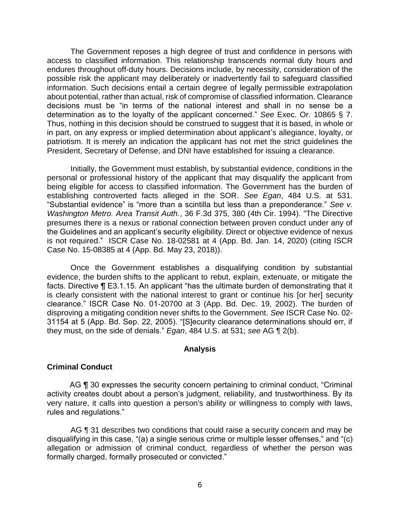The Government reposes a high degree of trust and confidence in persons with access to classified information. This relationship transcends normal duty hours and endures throughout off-duty hours. Decisions include, by necessity, consideration of the possible risk the applicant may deliberately or inadvertently fail to safeguard classified information. Such decisions entail a certain degree of legally permissible extrapolation about potential, rather than actual, risk of compromise of classified information. Clearance decisions must be "in terms of the national interest and shall in no sense be a determination as to the loyalty of the applicant concerned." *See* Exec. Or. 10865 § 7. Thus, nothing in this decision should be construed to suggest that it is based, in whole or in part, on any express or implied determination about applicant's allegiance, loyalty, or patriotism. It is merely an indication the applicant has not met the strict guidelines the President, Secretary of Defense, and DNI have established for issuing a clearance.

 Initially, the Government must establish, by substantial evidence, conditions in the personal or professional history of the applicant that may disqualify the applicant from being eligible for access to classified information. The Government has the burden of establishing controverted facts alleged in the SOR. *See Egan*, 484 U.S. at 531. "Substantial evidence" is "more than a scintilla but less than a preponderance." *See v. Washington Metro. Area Transit Auth.*, 36 F.3d 375, 380 (4th Cir. 1994). "The Directive presumes there is a nexus or rational connection between proven conduct under any of the Guidelines and an applicant's security eligibility. Direct or objective evidence of nexus is not required." ISCR Case No. 18-02581 at 4 (App. Bd. Jan. 14, 2020) (citing ISCR Case No. 15-08385 at 4 (App. Bd. May 23, 2018)).

Once the Government establishes a disqualifying condition by substantial evidence, the burden shifts to the applicant to rebut, explain, extenuate, or mitigate the facts. Directive ¶ E3.1.15. An applicant "has the ultimate burden of demonstrating that it is clearly consistent with the national interest to grant or continue his [or her] security clearance." ISCR Case No. 01-20700 at 3 (App. Bd. Dec. 19, 2002). The burden of disproving a mitigating condition never shifts to the Government. *See* ISCR Case No. 02- 31154 at 5 (App. Bd. Sep. 22, 2005). "[S]ecurity clearance determinations should err, if they must, on the side of denials." *Egan*, 484 U.S. at 531; *see* AG ¶ 2(b).

#### **Analysis**

#### **Criminal Conduct**

AG ¶ 30 expresses the security concern pertaining to criminal conduct, "Criminal activity creates doubt about a person's judgment, reliability, and trustworthiness. By its very nature, it calls into question a person's ability or willingness to comply with laws, rules and regulations."

AG **[1** 31 describes two conditions that could raise a security concern and may be disqualifying in this case, "(a) a single serious crime or multiple lesser offenses," and "(c) allegation or admission of criminal conduct, regardless of whether the person was formally charged, formally prosecuted or convicted."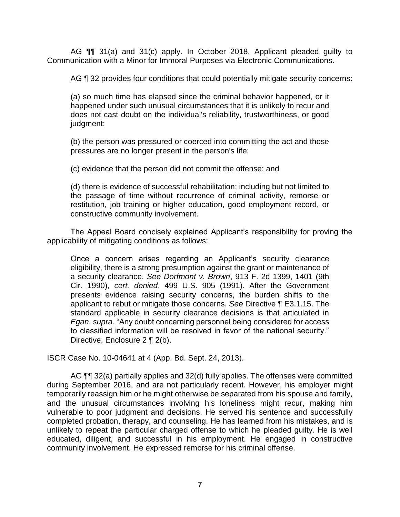AG ¶¶ 31(a) and 31(c) apply. In October 2018, Applicant pleaded guilty to Communication with a Minor for Immoral Purposes via Electronic Communications.

AG ¶ 32 provides four conditions that could potentially mitigate security concerns:

(a) so much time has elapsed since the criminal behavior happened, or it happened under such unusual circumstances that it is unlikely to recur and does not cast doubt on the individual's reliability, trustworthiness, or good judgment;

(b) the person was pressured or coerced into committing the act and those pressures are no longer present in the person's life;

(c) evidence that the person did not commit the offense; and

 (d) there is evidence of successful rehabilitation; including but not limited to the passage of time without recurrence of criminal activity, remorse or restitution, job training or higher education, good employment record, or constructive community involvement.

The Appeal Board concisely explained Applicant's responsibility for proving the applicability of mitigating conditions as follows:

Once a concern arises regarding an Applicant's security clearance eligibility, there is a strong presumption against the grant or maintenance of a security clearance. *See Dorfmont v. Brown*, 913 F. 2d 1399, 1401 (9th Cir. 1990), *cert. denied*, 499 U.S. 905 (1991). After the Government presents evidence raising security concerns, the burden shifts to the applicant to rebut or mitigate those concerns. *See* Directive ¶ E3.1.15. The standard applicable in security clearance decisions is that articulated in *Egan*, *supra*. "Any doubt concerning personnel being considered for access to classified information will be resolved in favor of the national security." Directive, Enclosure 2 ¶ 2(b).

ISCR Case No. 10-04641 at 4 (App. Bd. Sept. 24, 2013).

AG  $\P\P$  32(a) partially applies and 32(d) fully applies. The offenses were committed temporarily reassign him or he might otherwise be separated from his spouse and family, and the unusual circumstances involving his loneliness might recur, making him vulnerable to poor judgment and decisions. He served his sentence and successfully completed probation, therapy, and counseling. He has learned from his mistakes, and is unlikely to repeat the particular charged offense to which he pleaded guilty. He is well educated, diligent, and successful in his employment. He engaged in constructive during September 2016, and are not particularly recent. However, his employer might community involvement. He expressed remorse for his criminal offense.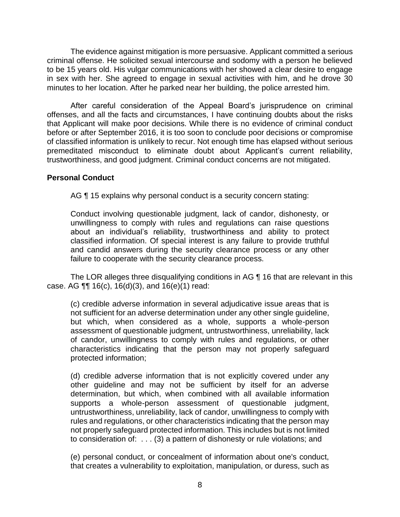The evidence against mitigation is more persuasive. Applicant committed a serious criminal offense. He solicited sexual intercourse and sodomy with a person he believed in sex with her. She agreed to engage in sexual activities with him, and he drove 30 to be 15 years old. His vulgar communications with her showed a clear desire to engage minutes to her location. After he parked near her building, the police arrested him.

 After careful consideration of the Appeal Board's jurisprudence on criminal offenses, and all the facts and circumstances, I have continuing doubts about the risks that Applicant will make poor decisions. While there is no evidence of criminal conduct before or after September 2016, it is too soon to conclude poor decisions or compromise of classified information is unlikely to recur. Not enough time has elapsed without serious premeditated misconduct to eliminate doubt about Applicant's current reliability, trustworthiness, and good judgment. Criminal conduct concerns are not mitigated.

## **Personal Conduct**

AG ¶ 15 explains why personal conduct is a security concern stating:

Conduct involving questionable judgment, lack of candor, dishonesty, or unwillingness to comply with rules and regulations can raise questions about an individual's reliability, trustworthiness and ability to protect classified information. Of special interest is any failure to provide truthful and candid answers during the security clearance process or any other failure to cooperate with the security clearance process.

The LOR alleges three disqualifying conditions in AG ¶ 16 that are relevant in this case. AG ¶¶ 16(c), 16(d)(3), and 16(e)(1) read:

(c) credible adverse information in several adjudicative issue areas that is not sufficient for an adverse determination under any other single guideline, but which, when considered as a whole, supports a whole-person assessment of questionable judgment, untrustworthiness, unreliability, lack of candor, unwillingness to comply with rules and regulations, or other characteristics indicating that the person may not properly safeguard protected information;

(d) credible adverse information that is not explicitly covered under any other guideline and may not be sufficient by itself for an adverse determination, but which, when combined with all available information supports a whole-person assessment of questionable judgment, untrustworthiness, unreliability, lack of candor, unwillingness to comply with rules and regulations, or other characteristics indicating that the person may not properly safeguard protected information. This includes but is not limited to consideration of: . . . (3) a pattern of dishonesty or rule violations; and

 (e) personal conduct, or concealment of information about one's conduct, that creates a vulnerability to exploitation, manipulation, or duress, such as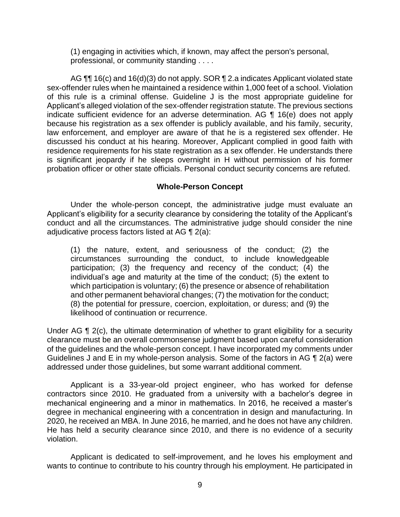(1) engaging in activities which, if known, may affect the person's personal, professional, or community standing . . . .

AG  $\P\P$  16(c) and 16(d)(3) do not apply. SOR  $\P$  2.a indicates Applicant violated state sex-offender rules when he maintained a residence within 1,000 feet of a school. Violation of this rule is a criminal offense. Guideline J is the most appropriate guideline for Applicant's alleged violation of the sex-offender registration statute. The previous sections indicate sufficient evidence for an adverse determination. AG ¶ 16(e) does not apply because his registration as a sex offender is publicly available, and his family, security, law enforcement, and employer are aware of that he is a registered sex offender. He discussed his conduct at his hearing. Moreover, Applicant complied in good faith with residence requirements for his state registration as a sex offender. He understands there is significant jeopardy if he sleeps overnight in H without permission of his former probation officer or other state officials. Personal conduct security concerns are refuted.

### **Whole-Person Concept**

Under the whole-person concept, the administrative judge must evaluate an Applicant's eligibility for a security clearance by considering the totality of the Applicant's conduct and all the circumstances. The administrative judge should consider the nine adjudicative process factors listed at AG ¶ 2(a):

 (1) the nature, extent, and seriousness of the conduct; (2) the circumstances surrounding the conduct, to include knowledgeable participation; (3) the frequency and recency of the conduct; (4) the individual's age and maturity at the time of the conduct; (5) the extent to which participation is voluntary; (6) the presence or absence of rehabilitation and other permanent behavioral changes; (7) the motivation for the conduct; (8) the potential for pressure, coercion, exploitation, or duress; and (9) the likelihood of continuation or recurrence.

Under AG ¶ 2(c), the ultimate determination of whether to grant eligibility for a security clearance must be an overall commonsense judgment based upon careful consideration of the guidelines and the whole-person concept. I have incorporated my comments under Guidelines J and E in my whole-person analysis. Some of the factors in AG ¶ 2(a) were addressed under those guidelines, but some warrant additional comment.

 contractors since 2010. He graduated from a university with a bachelor's degree in mechanical engineering and a minor in mathematics. In 2016, he received a master's degree in mechanical engineering with a concentration in design and manufacturing. In 2020, he received an MBA. In June 2016, he married, and he does not have any children. He has held a security clearance since 2010, and there is no evidence of a security Applicant is a 33-year-old project engineer, who has worked for defense violation.

 Applicant is dedicated to self-improvement, and he loves his employment and wants to continue to contribute to his country through his employment. He participated in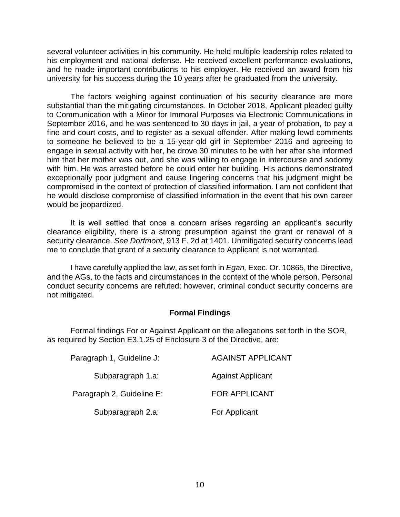several volunteer activities in his community. He held multiple leadership roles related to and he made important contributions to his employer. He received an award from his his employment and national defense. He received excellent performance evaluations, university for his success during the 10 years after he graduated from the university.

 The factors weighing against continuation of his security clearance are more substantial than the mitigating circumstances. In October 2018, Applicant pleaded guilty to Communication with a Minor for Immoral Purposes via Electronic Communications in September 2016, and he was sentenced to 30 days in jail, a year of probation, to pay a fine and court costs, and to register as a sexual offender. After making lewd comments to someone he believed to be a 15-year-old girl in September 2016 and agreeing to engage in sexual activity with her, he drove 30 minutes to be with her after she informed him that her mother was out, and she was willing to engage in intercourse and sodomy with him. He was arrested before he could enter her building. His actions demonstrated exceptionally poor judgment and cause lingering concerns that his judgment might be compromised in the context of protection of classified information. I am not confident that he would disclose compromise of classified information in the event that his own career would be jeopardized.

 It is well settled that once a concern arises regarding an applicant's security clearance eligibility, there is a strong presumption against the grant or renewal of a security clearance. *See Dorfmont*, 913 F. 2d at 1401. Unmitigated security concerns lead me to conclude that grant of a security clearance to Applicant is not warranted.

 I have carefully applied the law, as set forth in *Egan,* Exec. Or. 10865, the Directive, and the AGs, to the facts and circumstances in the context of the whole person. Personal conduct security concerns are refuted; however, criminal conduct security concerns are not mitigated.

## **Formal Findings**

 as required by Section E3.1.25 of Enclosure 3 of the Directive, are: Formal findings For or Against Applicant on the allegations set forth in the SOR,

| Paragraph 1, Guideline J: | <b>AGAINST APPLICANT</b> |
|---------------------------|--------------------------|
| Subparagraph 1.a:         | <b>Against Applicant</b> |
| Paragraph 2, Guideline E: | <b>FOR APPLICANT</b>     |
| Subparagraph 2.a:         | For Applicant            |